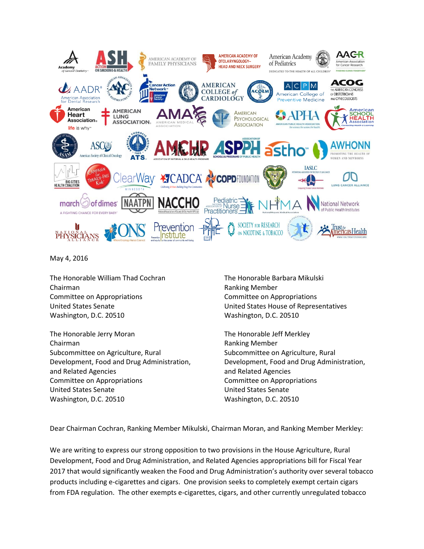

May 4, 2016

The Honorable William Thad Cochran Chairman Committee on Appropriations United States Senate Washington, D.C. 20510

The Honorable Jerry Moran Chairman Subcommittee on Agriculture, Rural Development, Food and Drug Administration, and Related Agencies Committee on Appropriations United States Senate Washington, D.C. 20510

The Honorable Barbara Mikulski Ranking Member Committee on Appropriations United States House of Representatives Washington, D.C. 20510

The Honorable Jeff Merkley Ranking Member Subcommittee on Agriculture, Rural Development, Food and Drug Administration, and Related Agencies Committee on Appropriations United States Senate Washington, D.C. 20510

Dear Chairman Cochran, Ranking Member Mikulski, Chairman Moran, and Ranking Member Merkley:

We are writing to express our strong opposition to two provisions in the House Agriculture, Rural Development, Food and Drug Administration, and Related Agencies appropriations bill for Fiscal Year 2017 that would significantly weaken the Food and Drug Administration's authority over several tobacco products including e-cigarettes and cigars. One provision seeks to completely exempt certain cigars from FDA regulation. The other exempts e-cigarettes, cigars, and other currently unregulated tobacco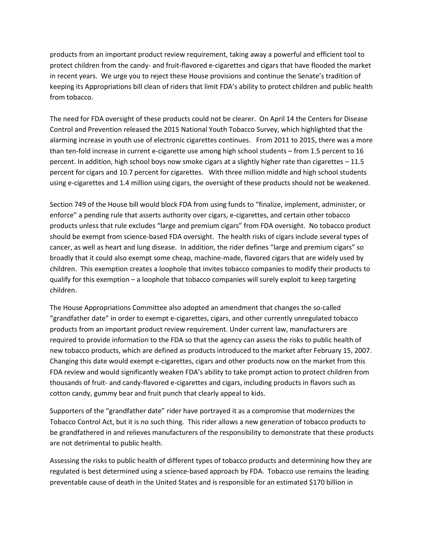products from an important product review requirement, taking away a powerful and efficient tool to protect children from the candy- and fruit-flavored e-cigarettes and cigars that have flooded the market in recent years. We urge you to reject these House provisions and continue the Senate's tradition of keeping its Appropriations bill clean of riders that limit FDA's ability to protect children and public health from tobacco.

The need for FDA oversight of these products could not be clearer. On April 14 the Centers for Disease Control and Prevention released the 2015 National Youth Tobacco Survey, which highlighted that the alarming increase in youth use of electronic cigarettes continues. From 2011 to 2015, there was a more than ten-fold increase in current e-cigarette use among high school students – from 1.5 percent to 16 percent. In addition, high school boys now smoke cigars at a slightly higher rate than cigarettes – 11.5 percent for cigars and 10.7 percent for cigarettes. With three million middle and high school students using e-cigarettes and 1.4 million using cigars, the oversight of these products should not be weakened.

Section 749 of the House bill would block FDA from using funds to "finalize, implement, administer, or enforce" a pending rule that asserts authority over cigars, e-cigarettes, and certain other tobacco products unless that rule excludes "large and premium cigars" from FDA oversight. No tobacco product should be exempt from science-based FDA oversight. The health risks of cigars include several types of cancer, as well as heart and lung disease. In addition, the rider defines "large and premium cigars" so broadly that it could also exempt some cheap, machine-made, flavored cigars that are widely used by children. This exemption creates a loophole that invites tobacco companies to modify their products to qualify for this exemption – a loophole that tobacco companies will surely exploit to keep targeting children.

The House Appropriations Committee also adopted an amendment that changes the so-called "grandfather date" in order to exempt e-cigarettes, cigars, and other currently unregulated tobacco products from an important product review requirement. Under current law, manufacturers are required to provide information to the FDA so that the agency can assess the risks to public health of new tobacco products, which are defined as products introduced to the market after February 15, 2007. Changing this date would exempt e-cigarettes, cigars and other products now on the market from this FDA review and would significantly weaken FDA's ability to take prompt action to protect children from thousands of fruit- and candy-flavored e-cigarettes and cigars, including products in flavors such as cotton candy, gummy bear and fruit punch that clearly appeal to kids.

Supporters of the "grandfather date" rider have portrayed it as a compromise that modernizes the Tobacco Control Act, but it is no such thing. This rider allows a new generation of tobacco products to be grandfathered in and relieves manufacturers of the responsibility to demonstrate that these products are not detrimental to public health.

Assessing the risks to public health of different types of tobacco products and determining how they are regulated is best determined using a science-based approach by FDA. Tobacco use remains the leading preventable cause of death in the United States and is responsible for an estimated \$170 billion in